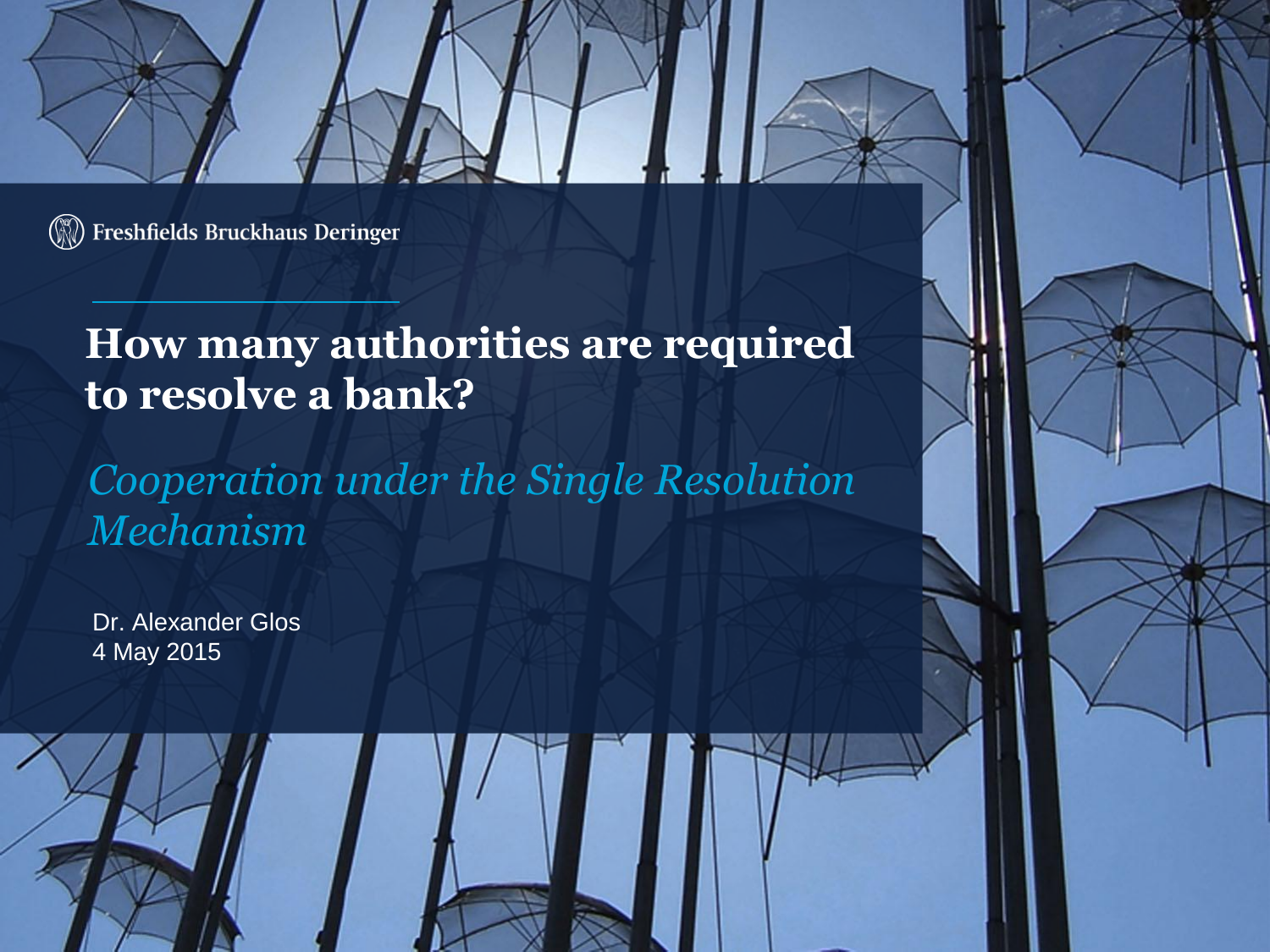

#### **How many authorities are required to resolve a bank?**

*Cooperation under the Single Resolution Mechanism*

Dr. Alexander Glos 4 May 2015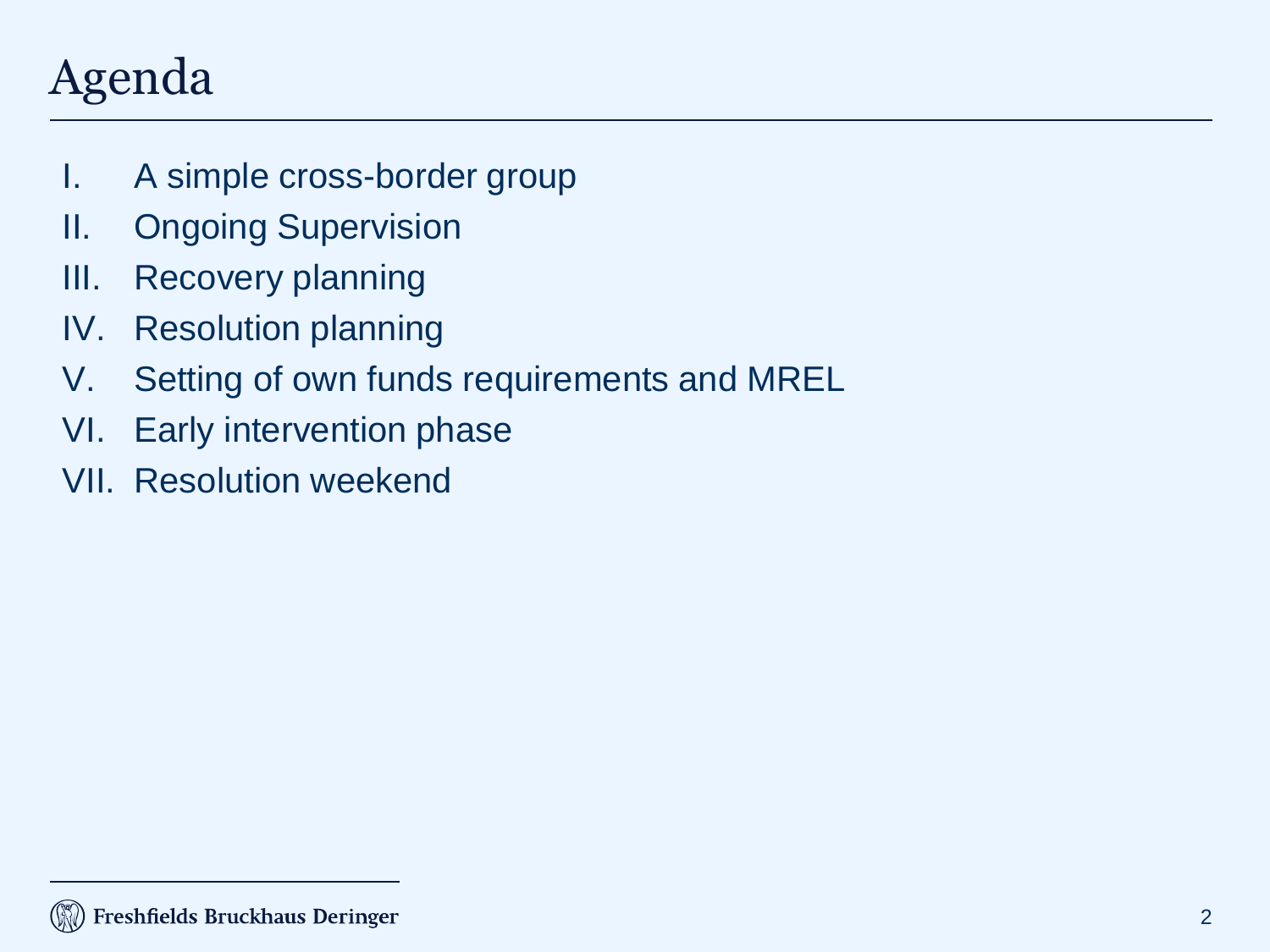## Agenda

- I. A simple cross-border group
- II. Ongoing Supervision
- III. Recovery planning
- IV. Resolution planning
- V. Setting of own funds requirements and MREL
- VI. Early intervention phase
- VII. Resolution weekend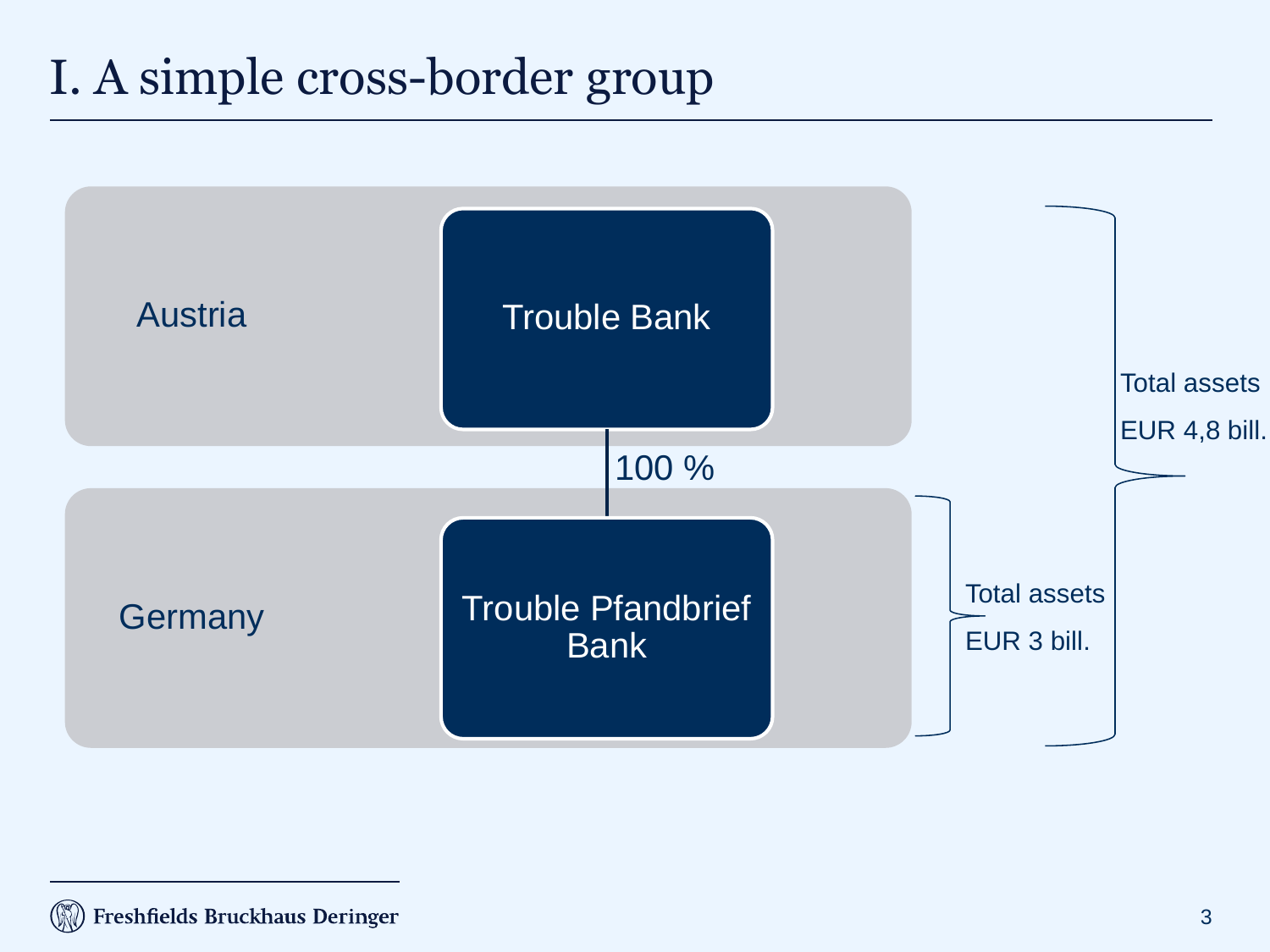## I. A simple cross-border group

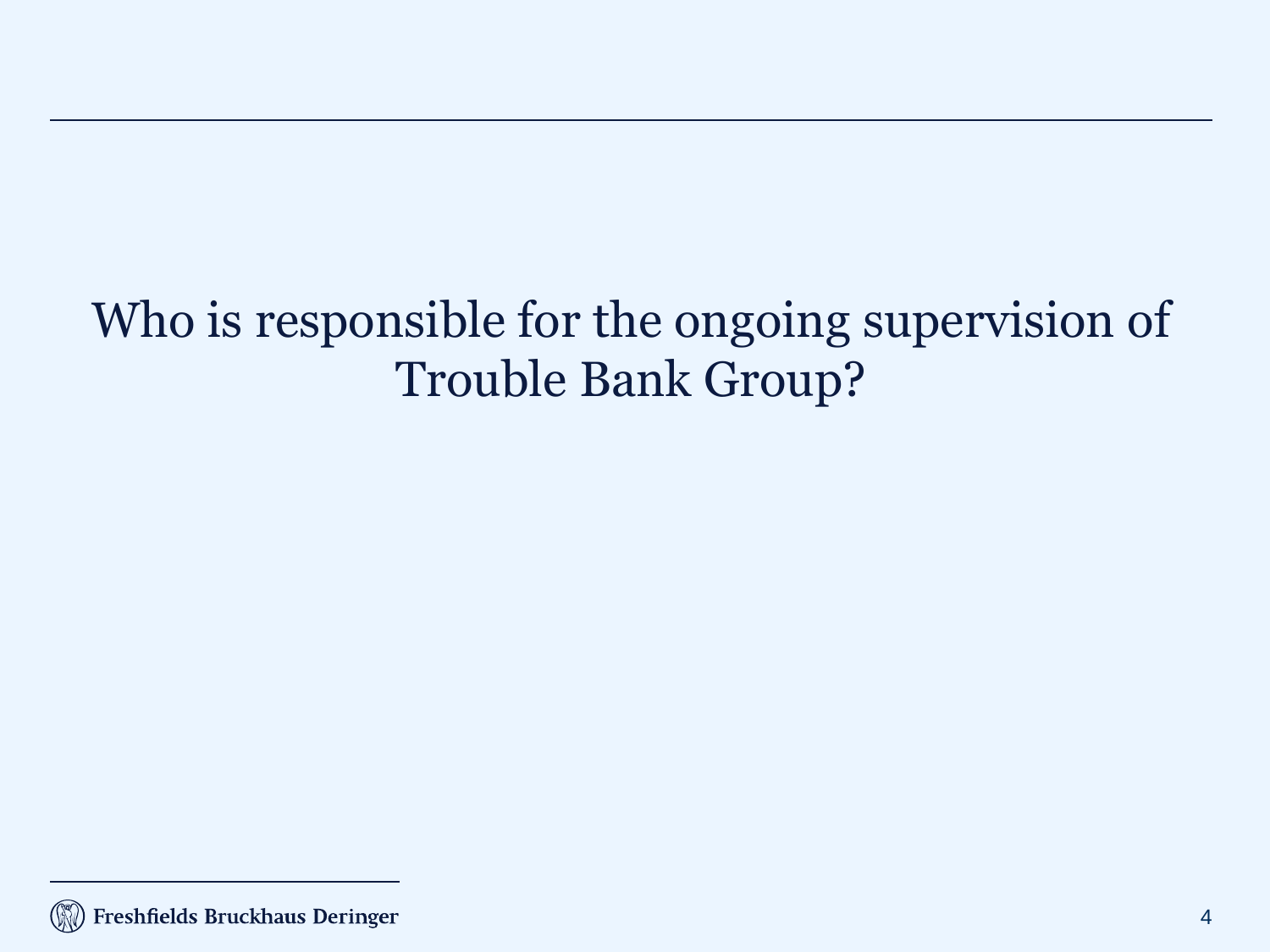## Who is responsible for the ongoing supervision of Trouble Bank Group?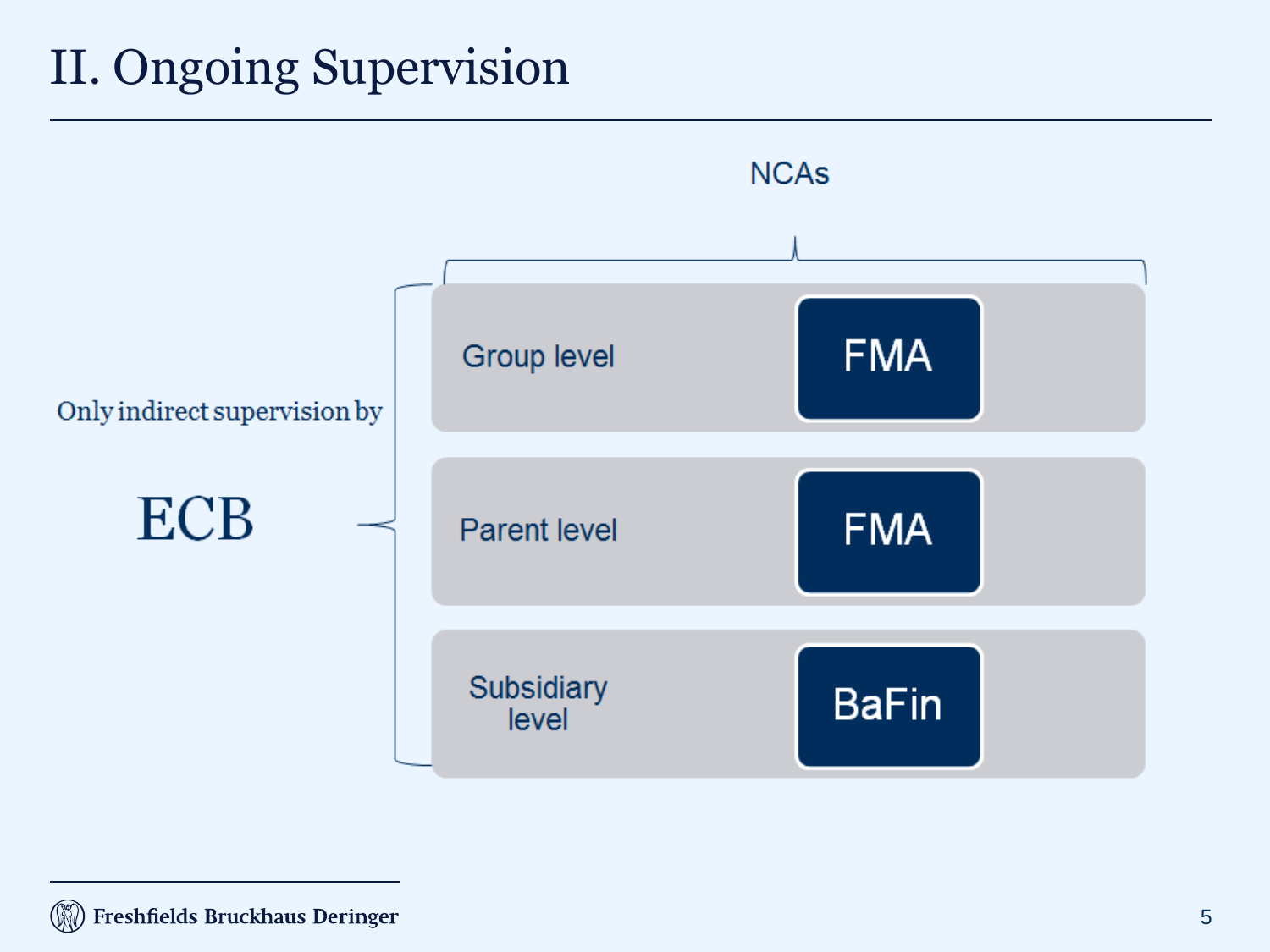## II. Ongoing Supervision

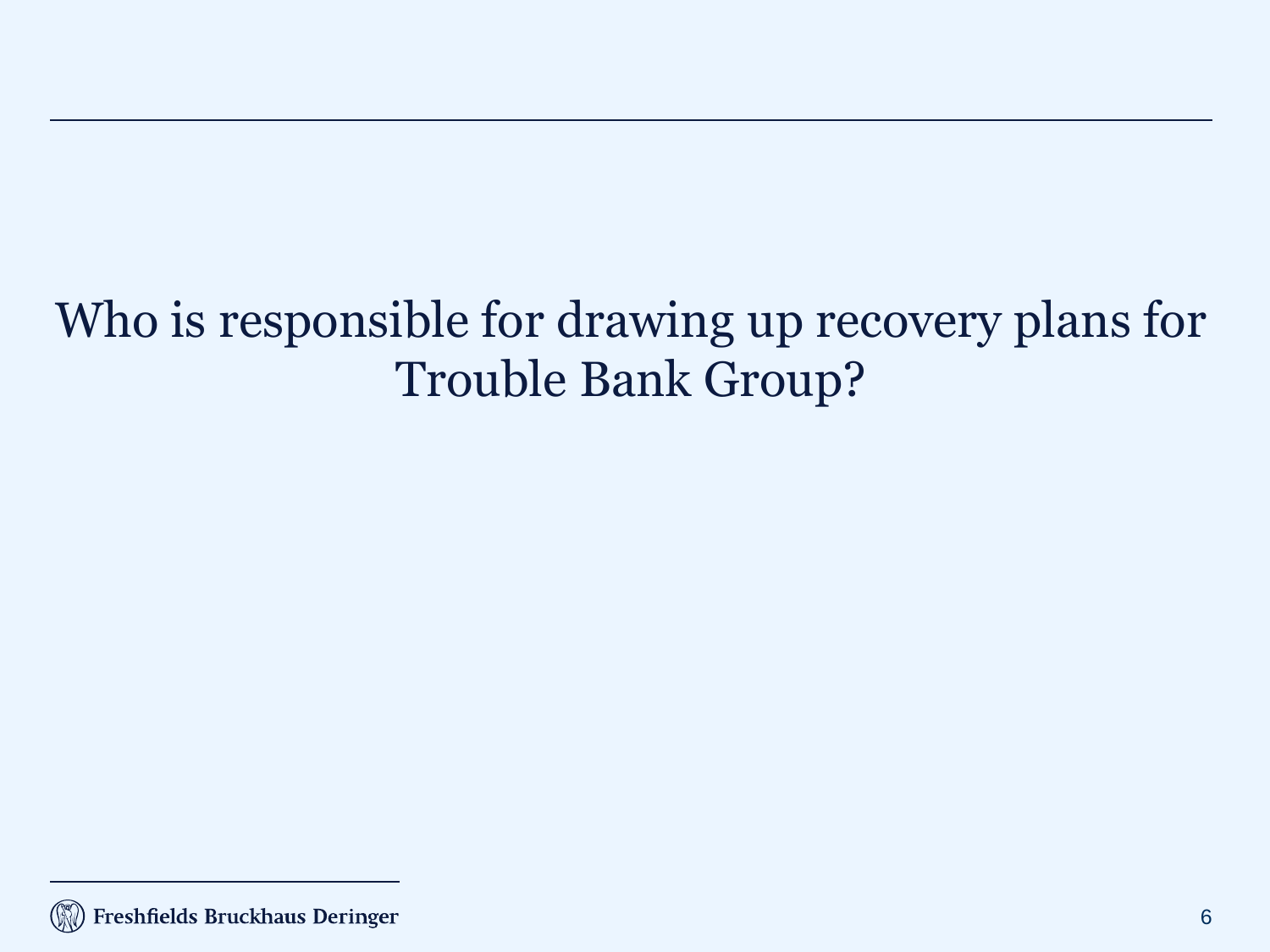## Who is responsible for drawing up recovery plans for Trouble Bank Group?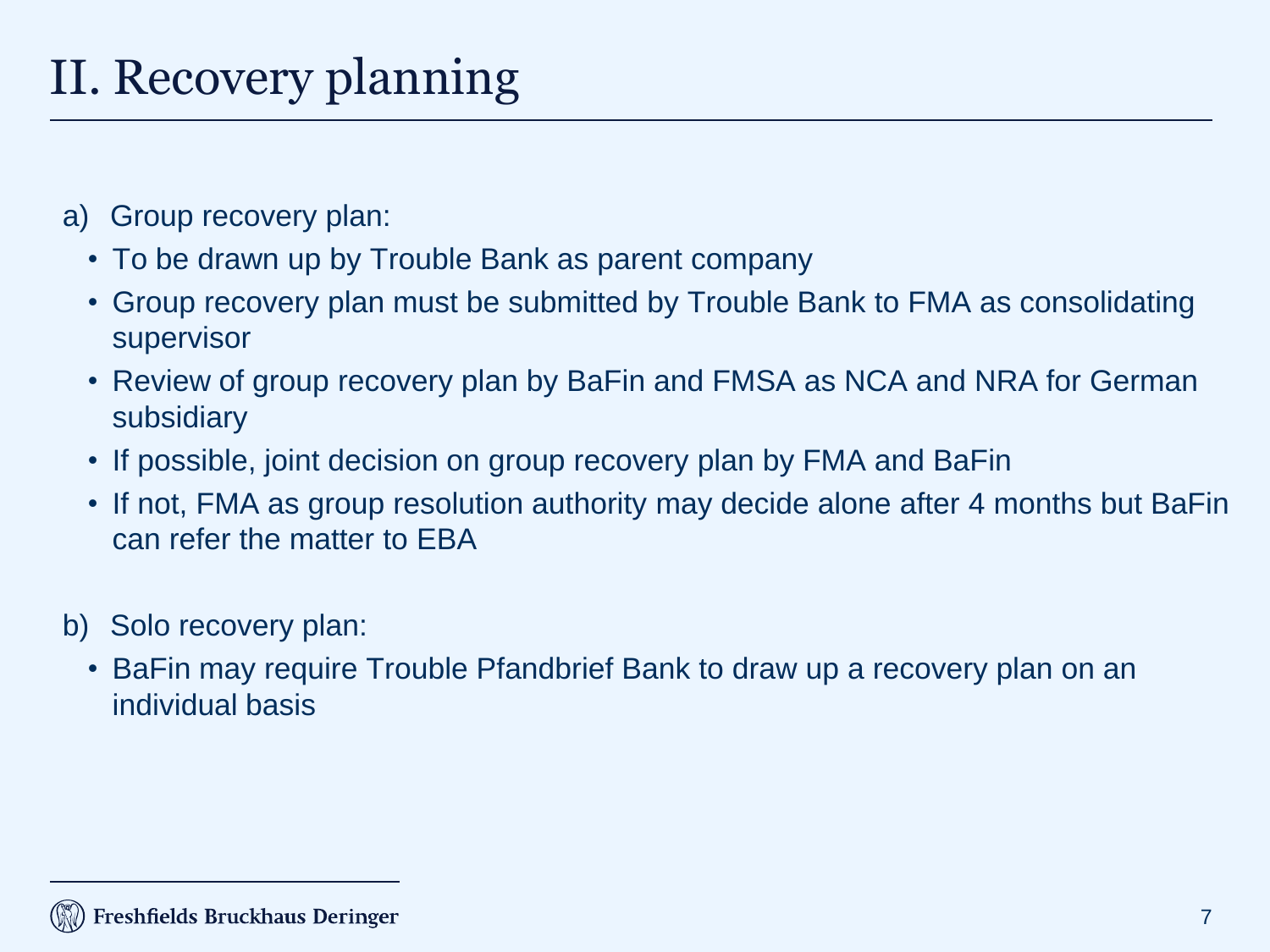## II. Recovery planning

- a) Group recovery plan:
	- To be drawn up by Trouble Bank as parent company
	- Group recovery plan must be submitted by Trouble Bank to FMA as consolidating supervisor
	- Review of group recovery plan by BaFin and FMSA as NCA and NRA for German subsidiary
	- If possible, joint decision on group recovery plan by FMA and BaFin
	- If not, FMA as group resolution authority may decide alone after 4 months but BaFin can refer the matter to EBA
- b) Solo recovery plan:
	- BaFin may require Trouble Pfandbrief Bank to draw up a recovery plan on an individual basis

#### Freshfields Bruckhaus Deringer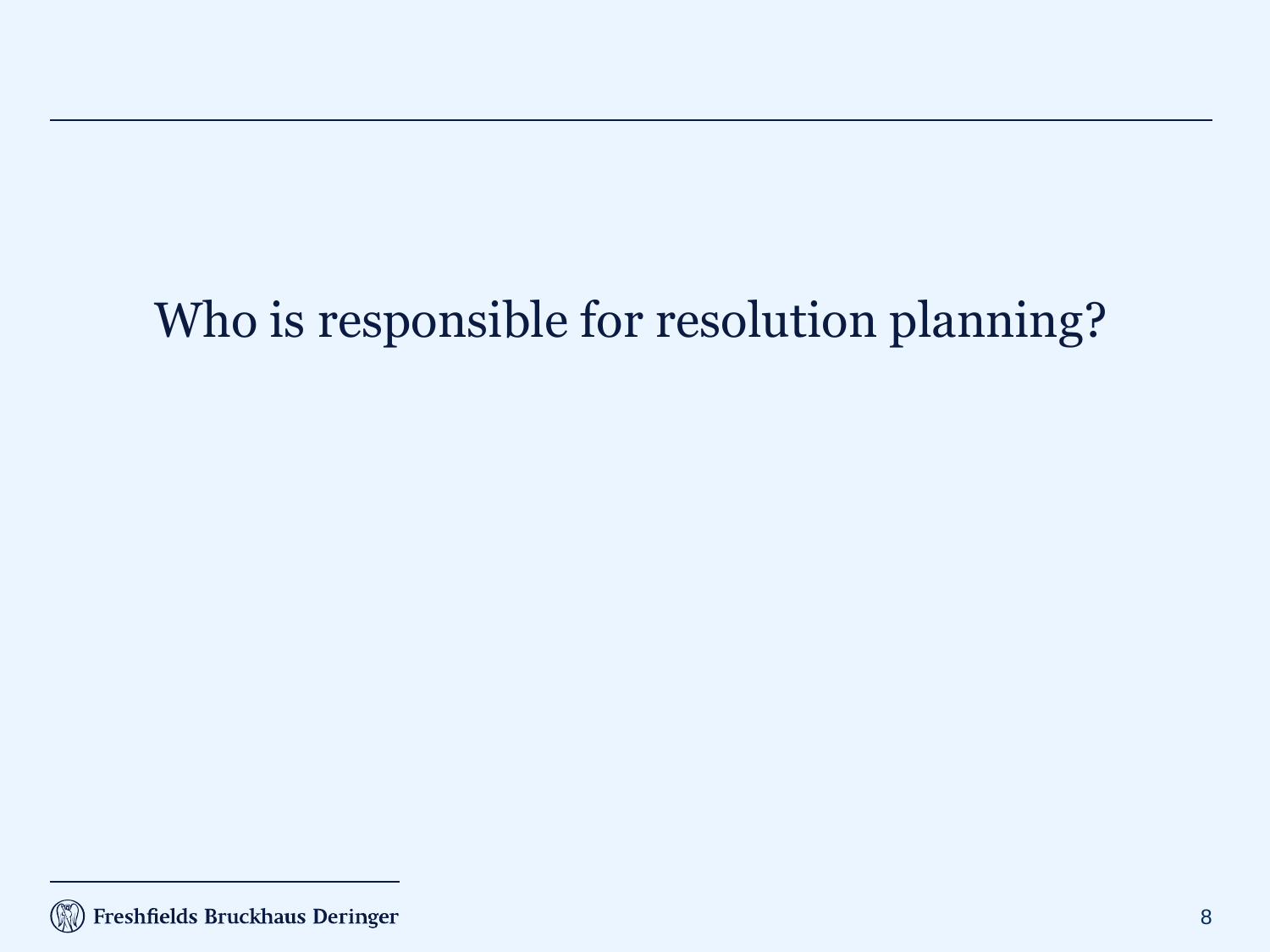# Who is responsible for resolution planning?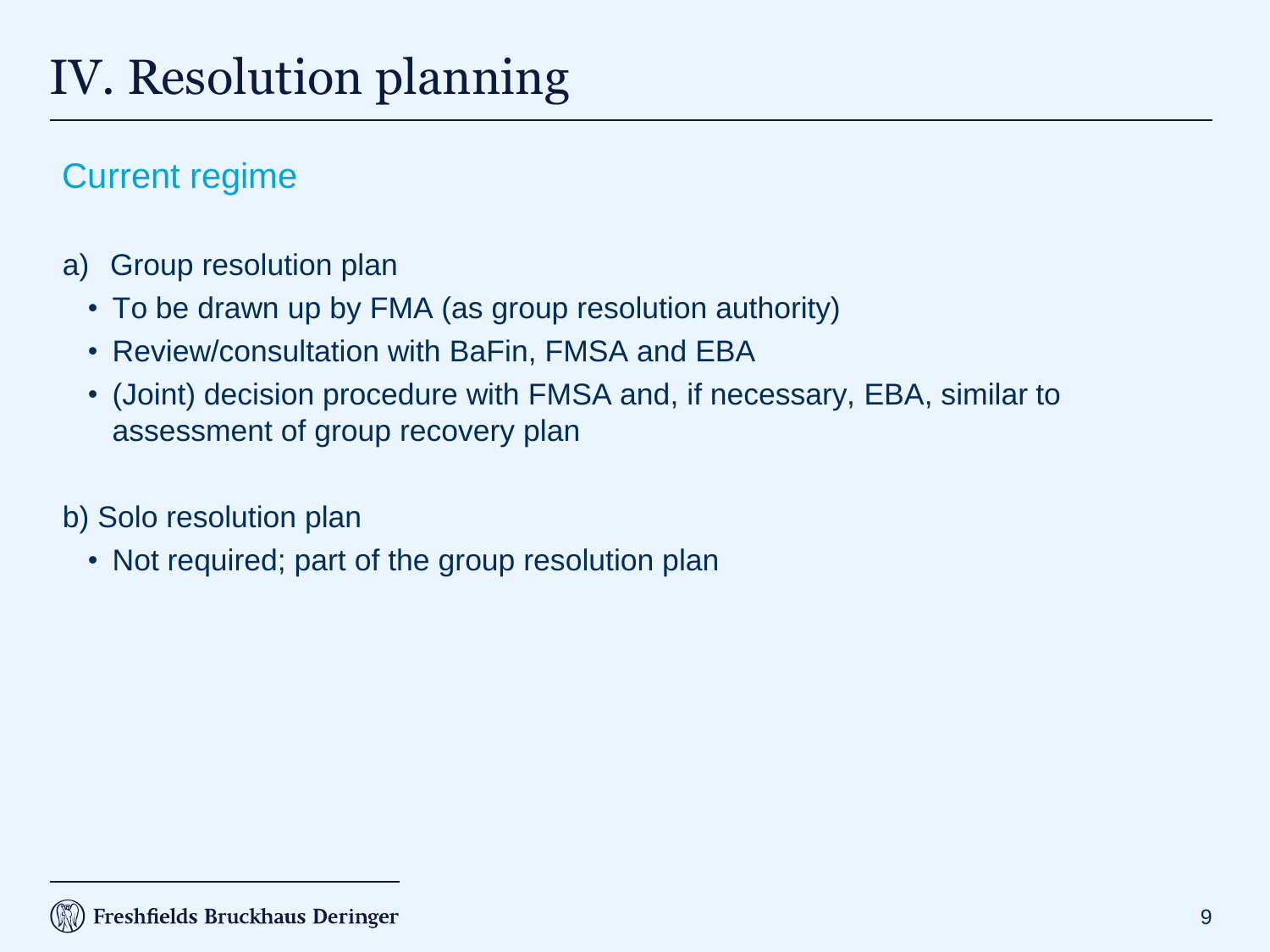#### Current regime

- a) Group resolution plan
	- To be drawn up by FMA (as group resolution authority)
	- Review/consultation with BaFin, FMSA and EBA
	- (Joint) decision procedure with FMSA and, if necessary, EBA, similar to assessment of group recovery plan

b) Solo resolution plan

• Not required; part of the group resolution plan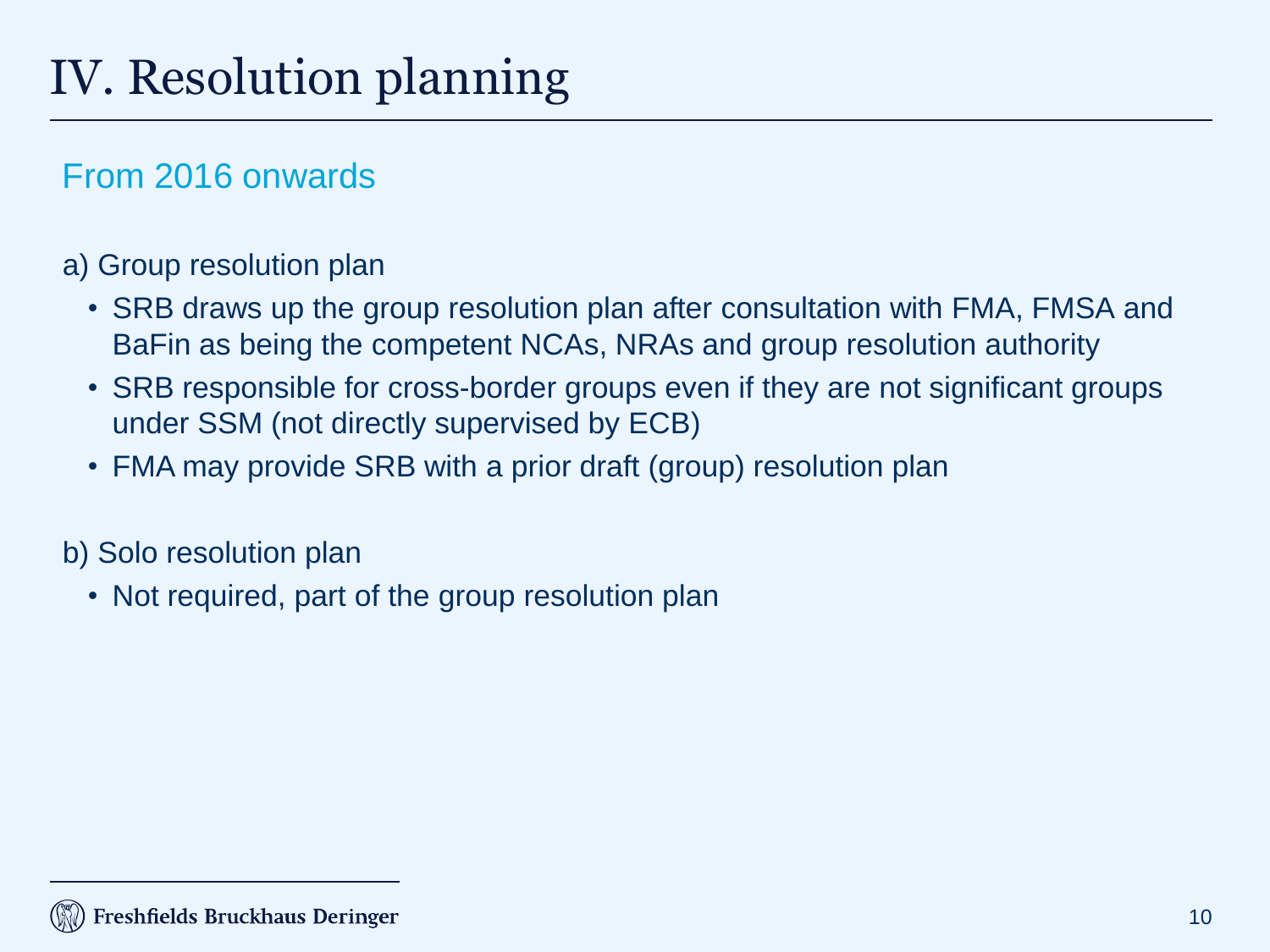#### From 2016 onwards

#### a) Group resolution plan

- SRB draws up the group resolution plan after consultation with FMA, FMSA and BaFin as being the competent NCAs, NRAs and group resolution authority
- SRB responsible for cross-border groups even if they are not significant groups under SSM (not directly supervised by ECB)
- FMA may provide SRB with a prior draft (group) resolution plan

b) Solo resolution plan

• Not required, part of the group resolution plan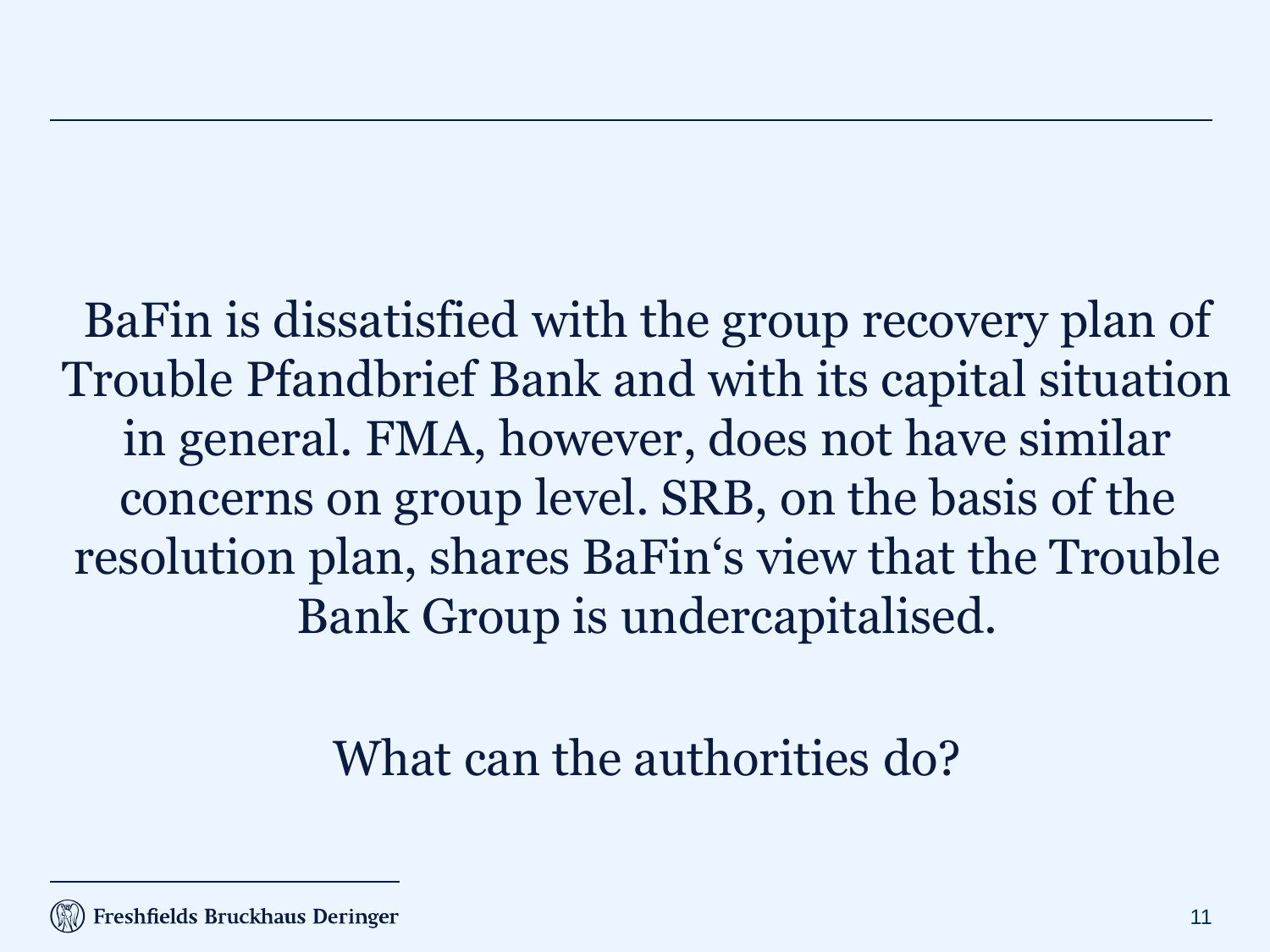BaFin is dissatisfied with the group recovery plan of Trouble Pfandbrief Bank and with its capital situation in general. FMA, however, does not have similar concerns on group level. SRB, on the basis of the resolution plan, shares BaFin's view that the Trouble Bank Group is undercapitalised.

#### What can the authorities do?

Freshfields Bruckhaus Deringer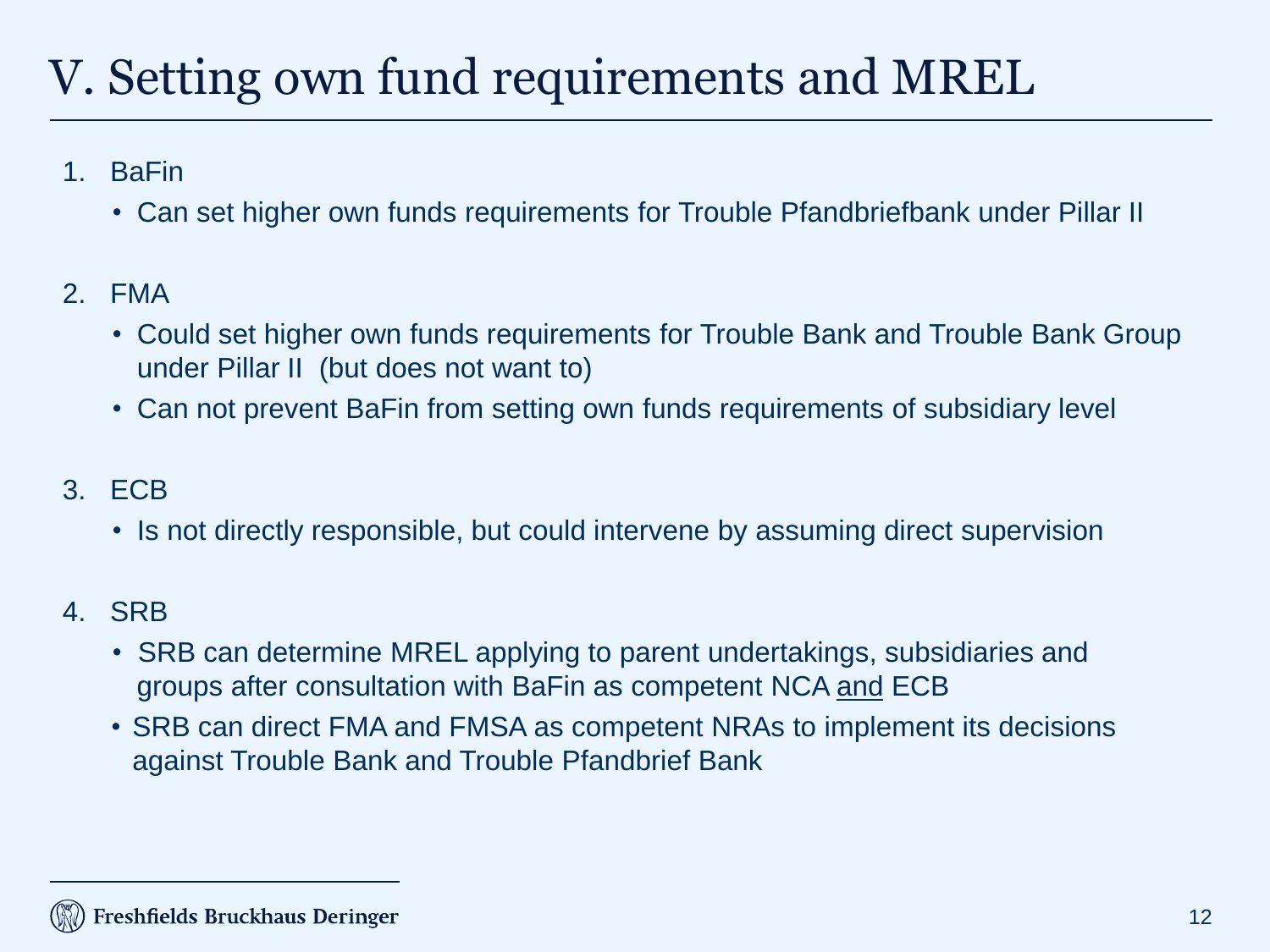# V. Setting own fund requirements and MREL

- 1. BaFin
	- Can set higher own funds requirements for Trouble Pfandbriefbank under Pillar II
- 2. FMA
	- Could set higher own funds requirements for Trouble Bank and Trouble Bank Group under Pillar II (but does not want to)
	- Can not prevent BaFin from setting own funds requirements of subsidiary level
- 3. ECB
	- Is not directly responsible, but could intervene by assuming direct supervision
- 4. SRB
	- SRB can determine MREL applying to parent undertakings, subsidiaries and groups after consultation with BaFin as competent NCA and ECB
	- SRB can direct FMA and FMSA as competent NRAs to implement its decisions against Trouble Bank and Trouble Pfandbrief Bank

#### Freshfields Bruckhaus Deringer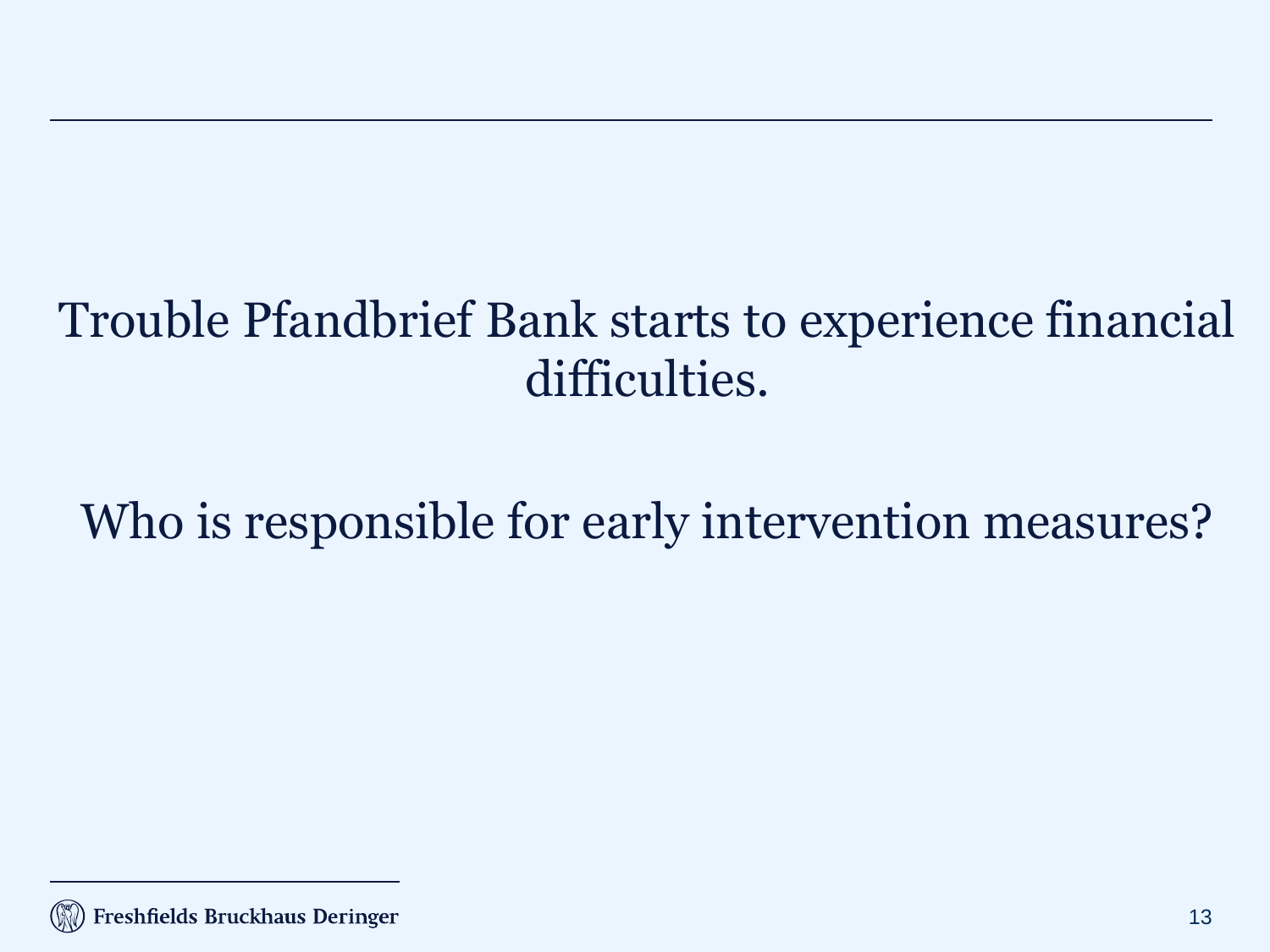### Trouble Pfandbrief Bank starts to experience financial difficulties.

# Who is responsible for early intervention measures?

Freshfields Bruckhaus Deringer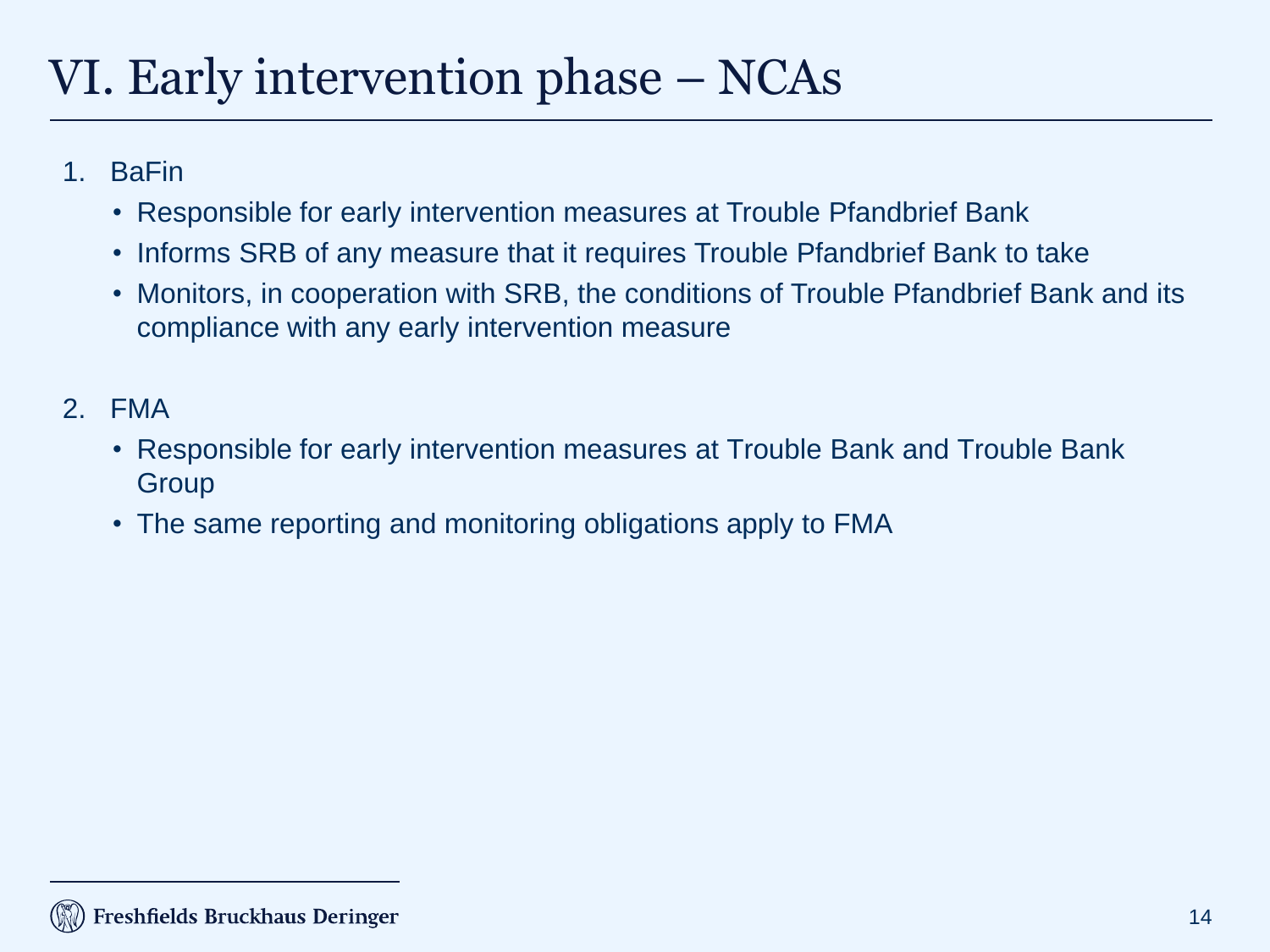## VI. Early intervention phase – NCAs

- 1. BaFin
	- Responsible for early intervention measures at Trouble Pfandbrief Bank
	- Informs SRB of any measure that it requires Trouble Pfandbrief Bank to take
	- Monitors, in cooperation with SRB, the conditions of Trouble Pfandbrief Bank and its compliance with any early intervention measure
- 2. FMA
	- Responsible for early intervention measures at Trouble Bank and Trouble Bank Group
	- The same reporting and monitoring obligations apply to FMA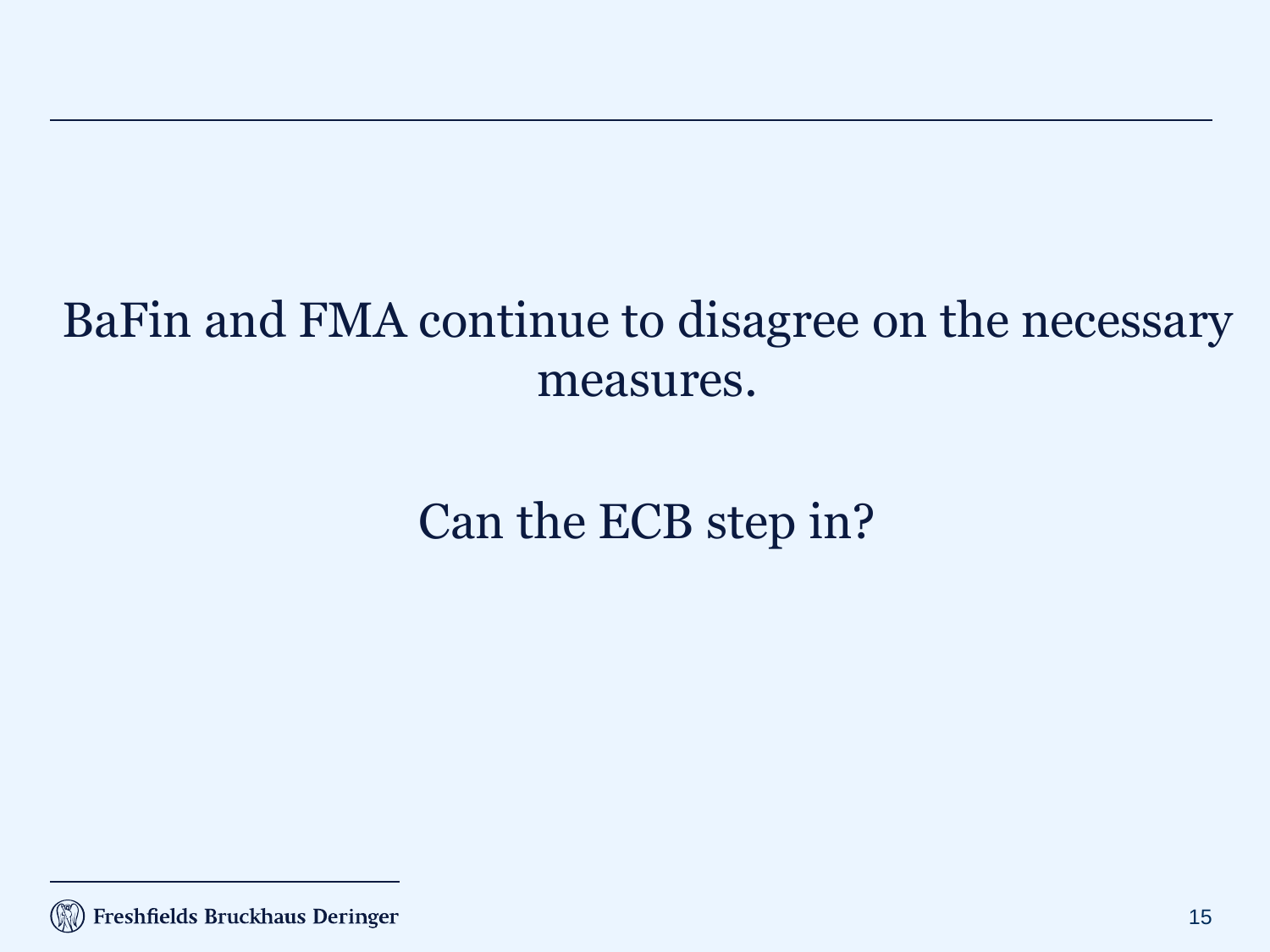#### BaFin and FMA continue to disagree on the necessary measures.

## Can the ECB step in?

<sup>(</sup>K) Freshfields Bruckhaus Deringer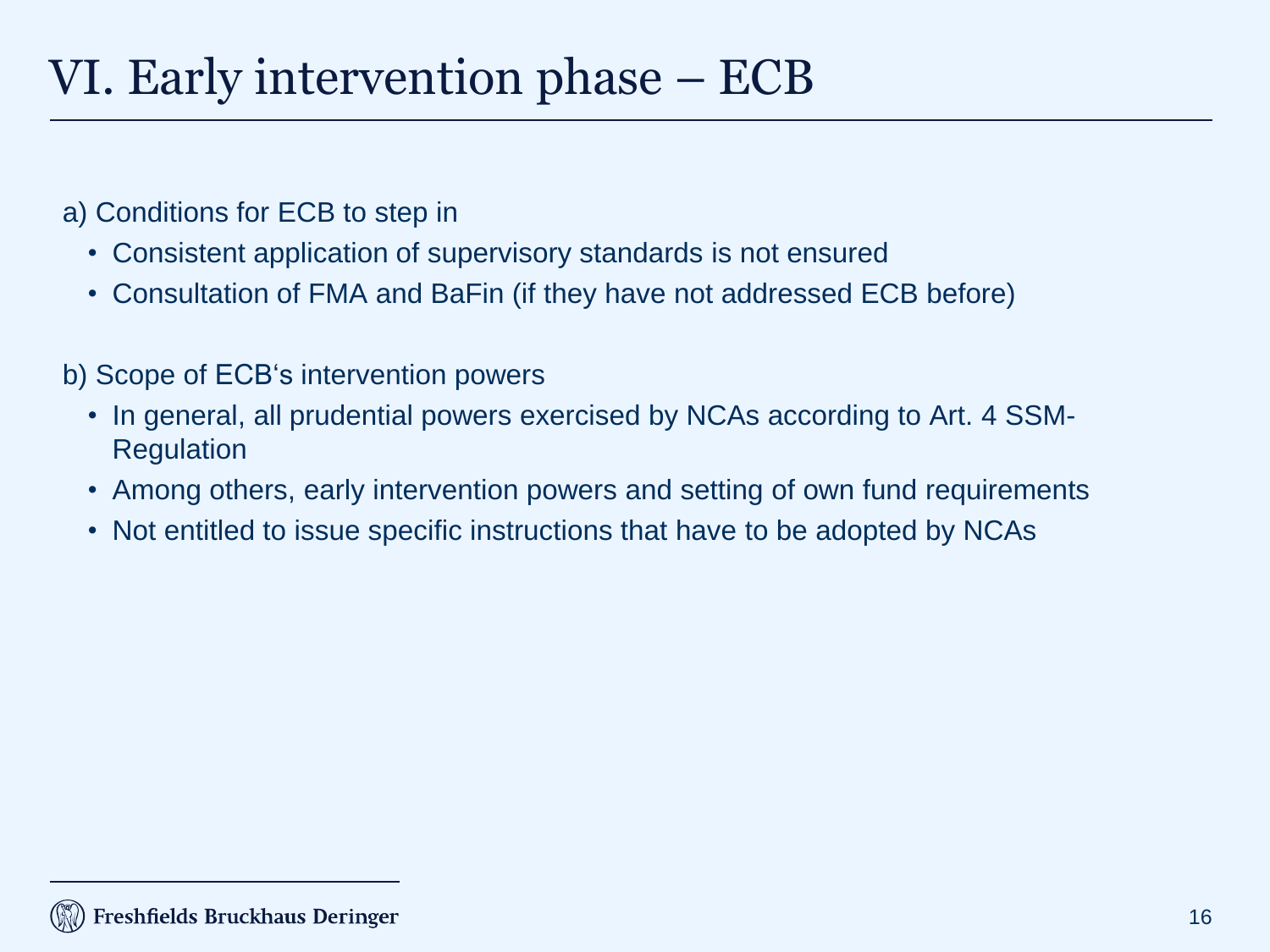#### VI. Early intervention phase – ECB

- a) Conditions for ECB to step in
	- Consistent application of supervisory standards is not ensured
	- Consultation of FMA and BaFin (if they have not addressed ECB before)
- b) Scope of ECB's intervention powers
	- In general, all prudential powers exercised by NCAs according to Art. 4 SSM-Regulation
	- Among others, early intervention powers and setting of own fund requirements
	- Not entitled to issue specific instructions that have to be adopted by NCAs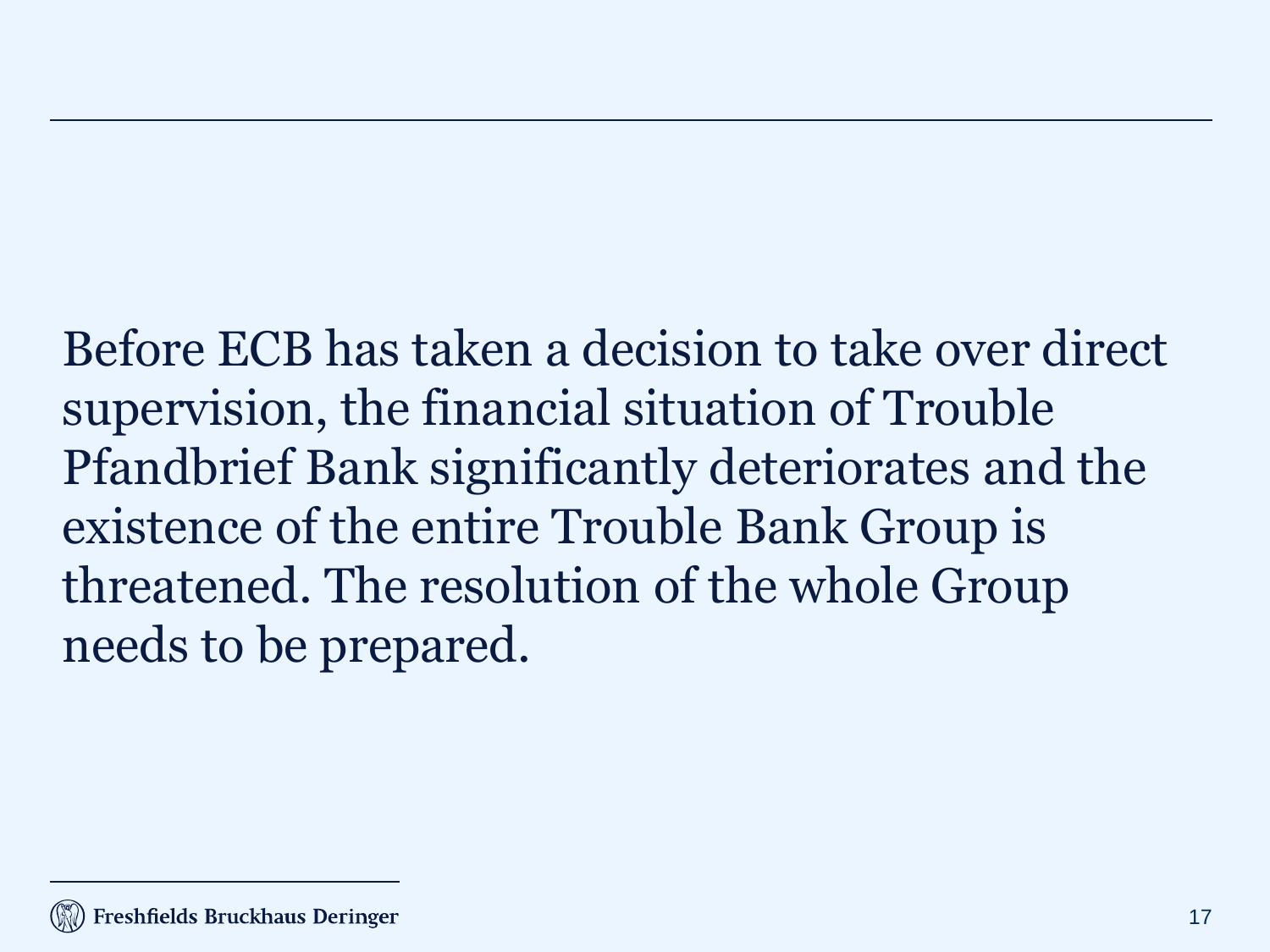Before ECB has taken a decision to take over direct supervision, the financial situation of Trouble Pfandbrief Bank significantly deteriorates and the existence of the entire Trouble Bank Group is threatened. The resolution of the whole Group needs to be prepared.

#### Freshfields Bruckhaus Deringer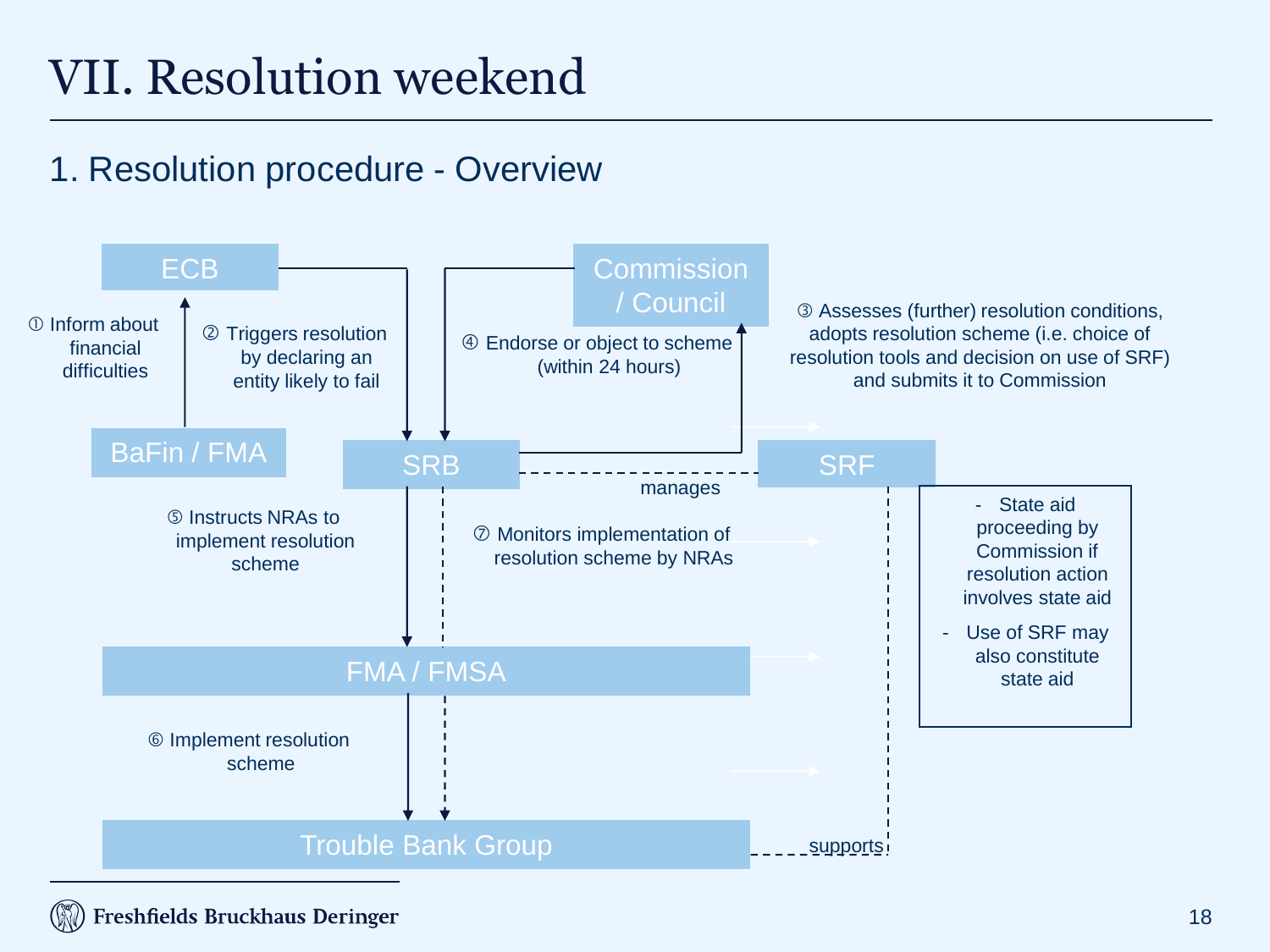## VII. Resolution weekend

#### 1. Resolution procedure - Overview



Freshfields Bruckhaus Deringer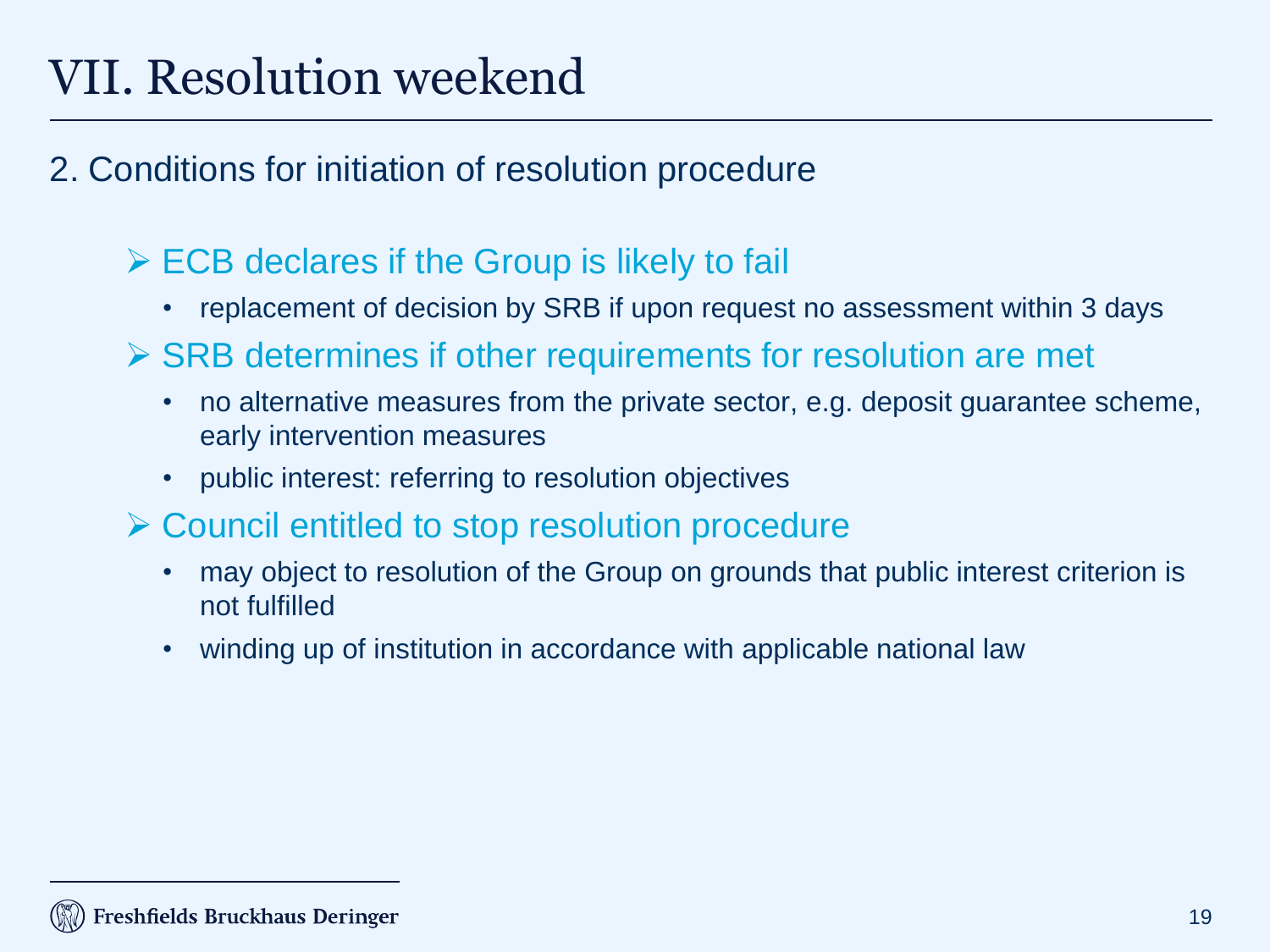## VII. Resolution weekend

#### 2. Conditions for initiation of resolution procedure

#### $\triangleright$  ECB declares if the Group is likely to fail

- replacement of decision by SRB if upon request no assessment within 3 days
- $\triangleright$  SRB determines if other requirements for resolution are met
	- no alternative measures from the private sector, e.g. deposit guarantee scheme, early intervention measures
	- public interest: referring to resolution objectives
- **≻ Council entitled to stop resolution procedure** 
	- may object to resolution of the Group on grounds that public interest criterion is not fulfilled
	- winding up of institution in accordance with applicable national law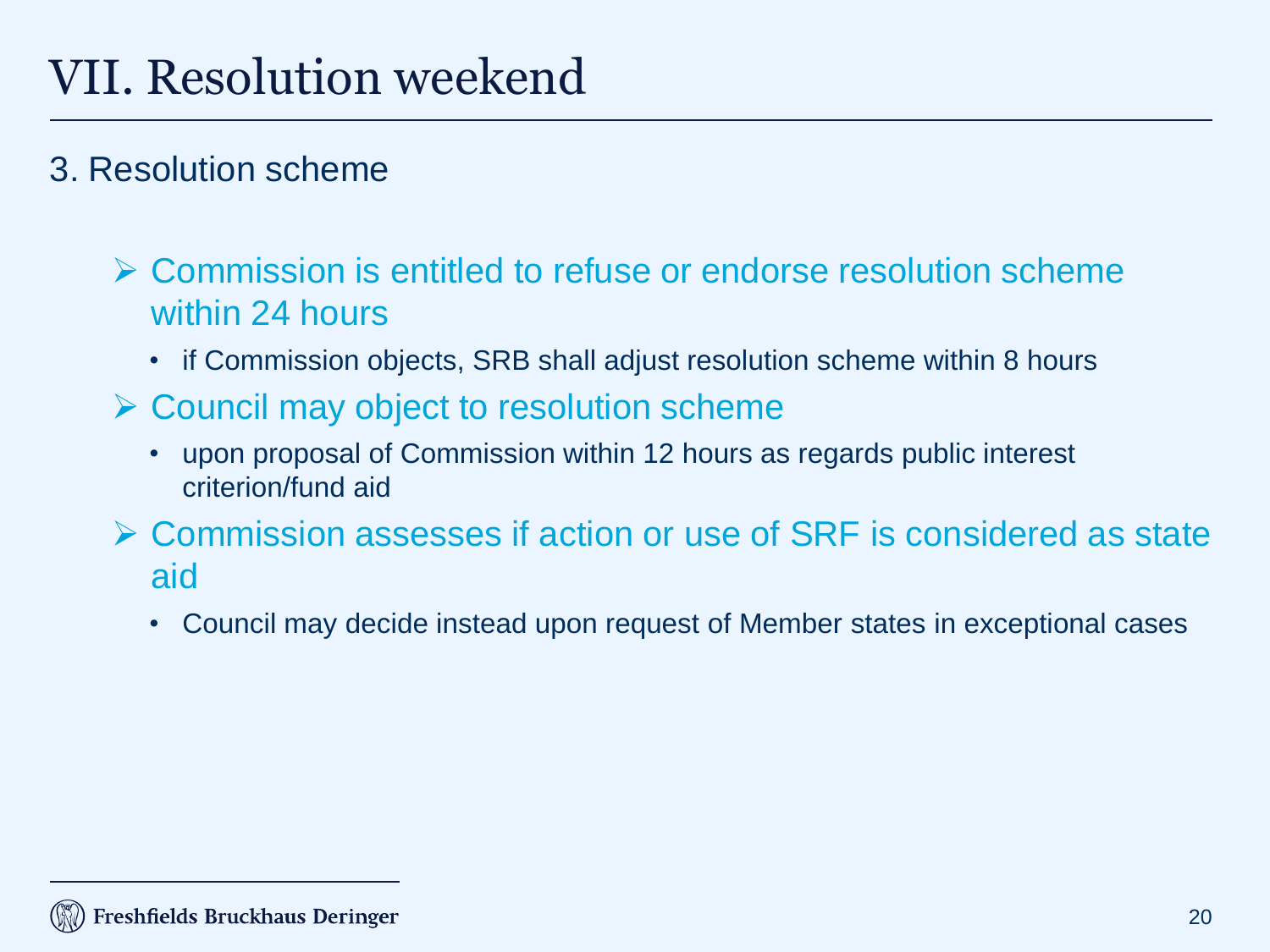#### 3. Resolution scheme

#### Commission is entitled to refuse or endorse resolution scheme within 24 hours

- if Commission objects, SRB shall adjust resolution scheme within 8 hours
- $\triangleright$  Council may object to resolution scheme
	- upon proposal of Commission within 12 hours as regards public interest criterion/fund aid
- Commission assesses if action or use of SRF is considered as state aid
	- Council may decide instead upon request of Member states in exceptional cases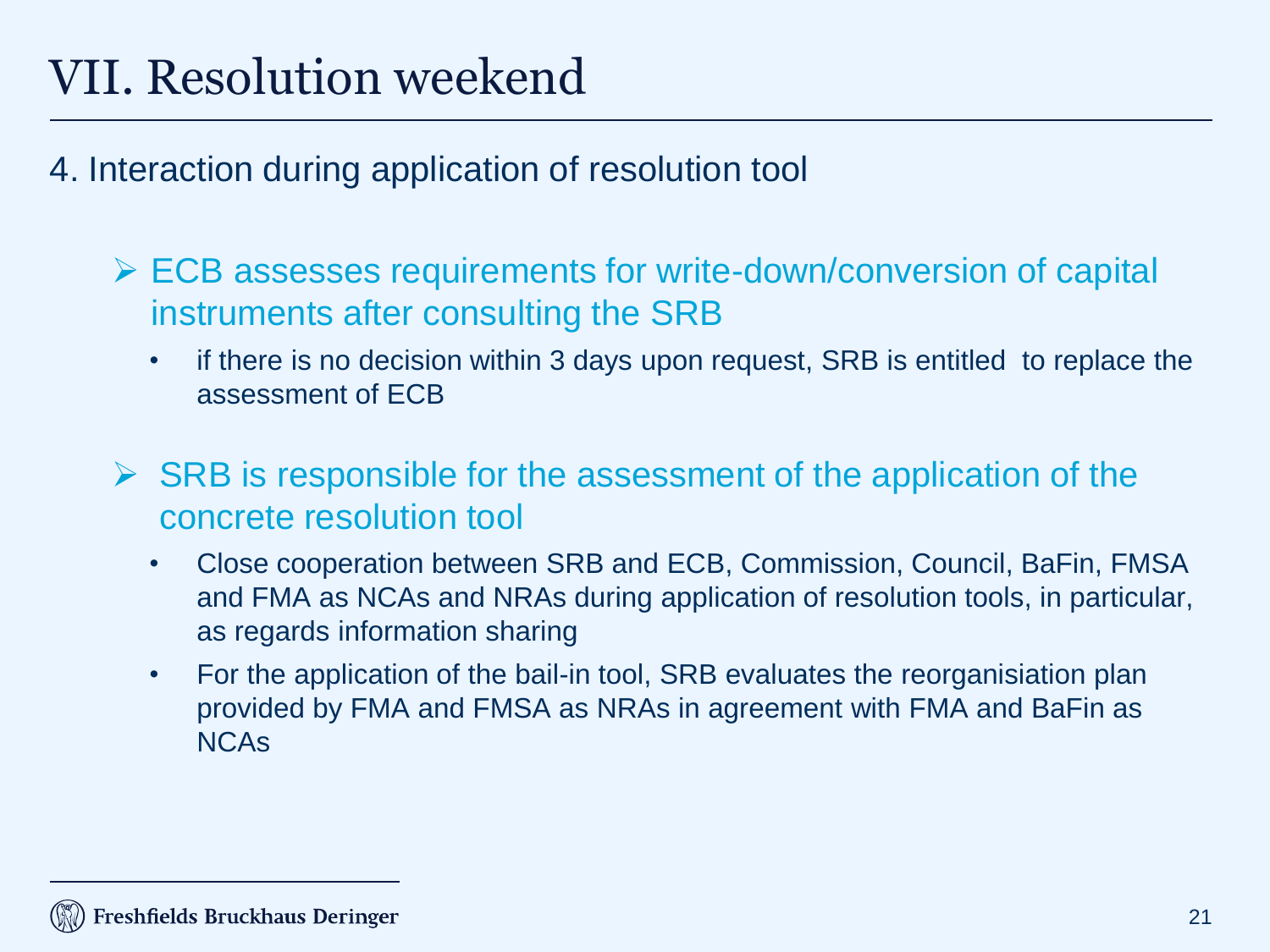## VII. Resolution weekend

- 4. Interaction during application of resolution tool
	- $\triangleright$  ECB assesses requirements for write-down/conversion of capital instruments after consulting the SRB
		- if there is no decision within 3 days upon request, SRB is entitled to replace the assessment of ECB
	- $\triangleright$  SRB is responsible for the assessment of the application of the concrete resolution tool
		- Close cooperation between SRB and ECB, Commission, Council, BaFin, FMSA and FMA as NCAs and NRAs during application of resolution tools, in particular, as regards information sharing
		- For the application of the bail-in tool, SRB evaluates the reorganisiation plan provided by FMA and FMSA as NRAs in agreement with FMA and BaFin as NCAs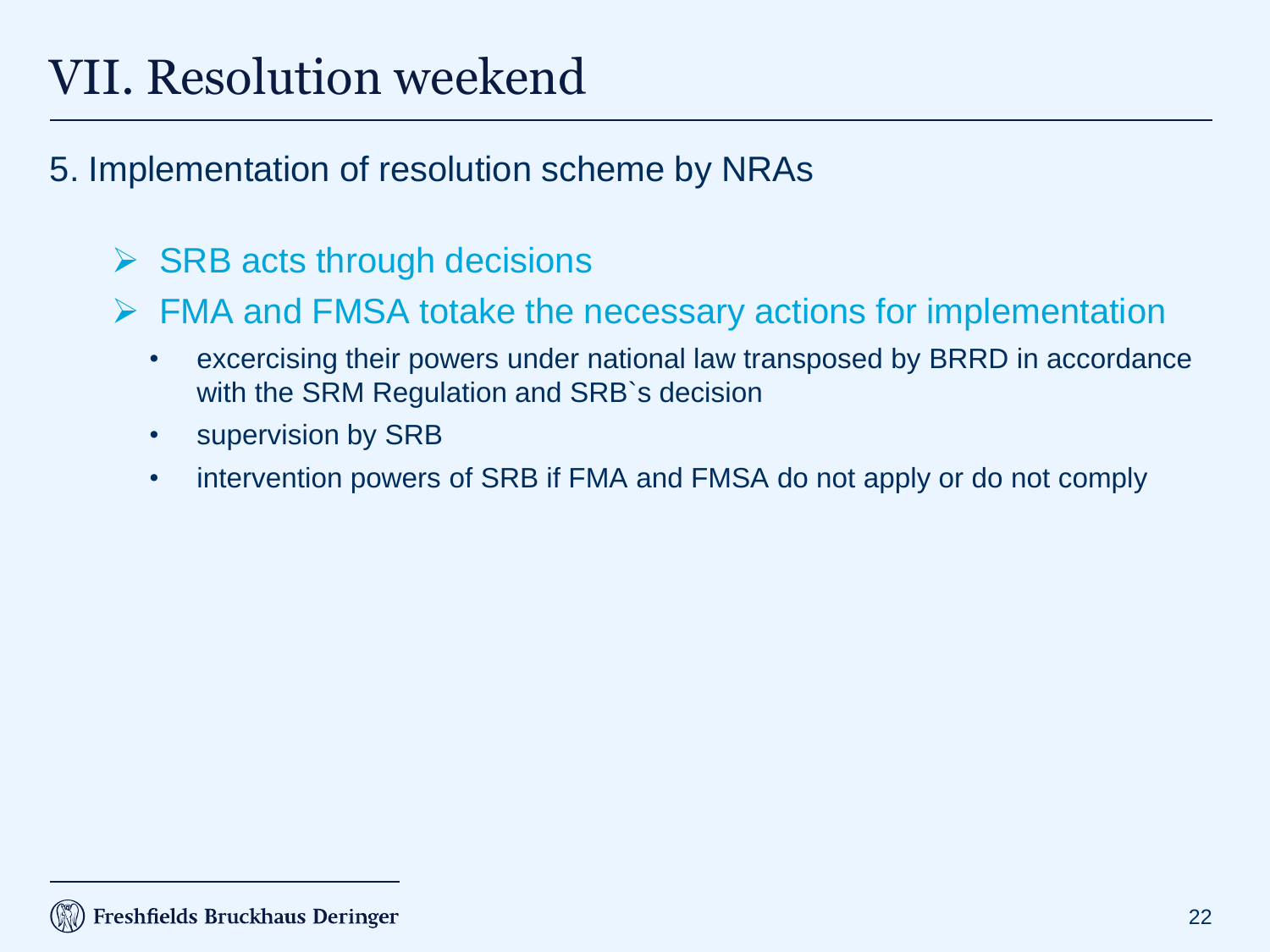## VII. Resolution weekend

- 5. Implementation of resolution scheme by NRAs
	- $\triangleright$  SRB acts through decisions
	- FMA and FMSA totake the necessary actions for implementation
		- excercising their powers under national law transposed by BRRD in accordance with the SRM Regulation and SRB`s decision
		- supervision by SRB
		- intervention powers of SRB if FMA and FMSA do not apply or do not comply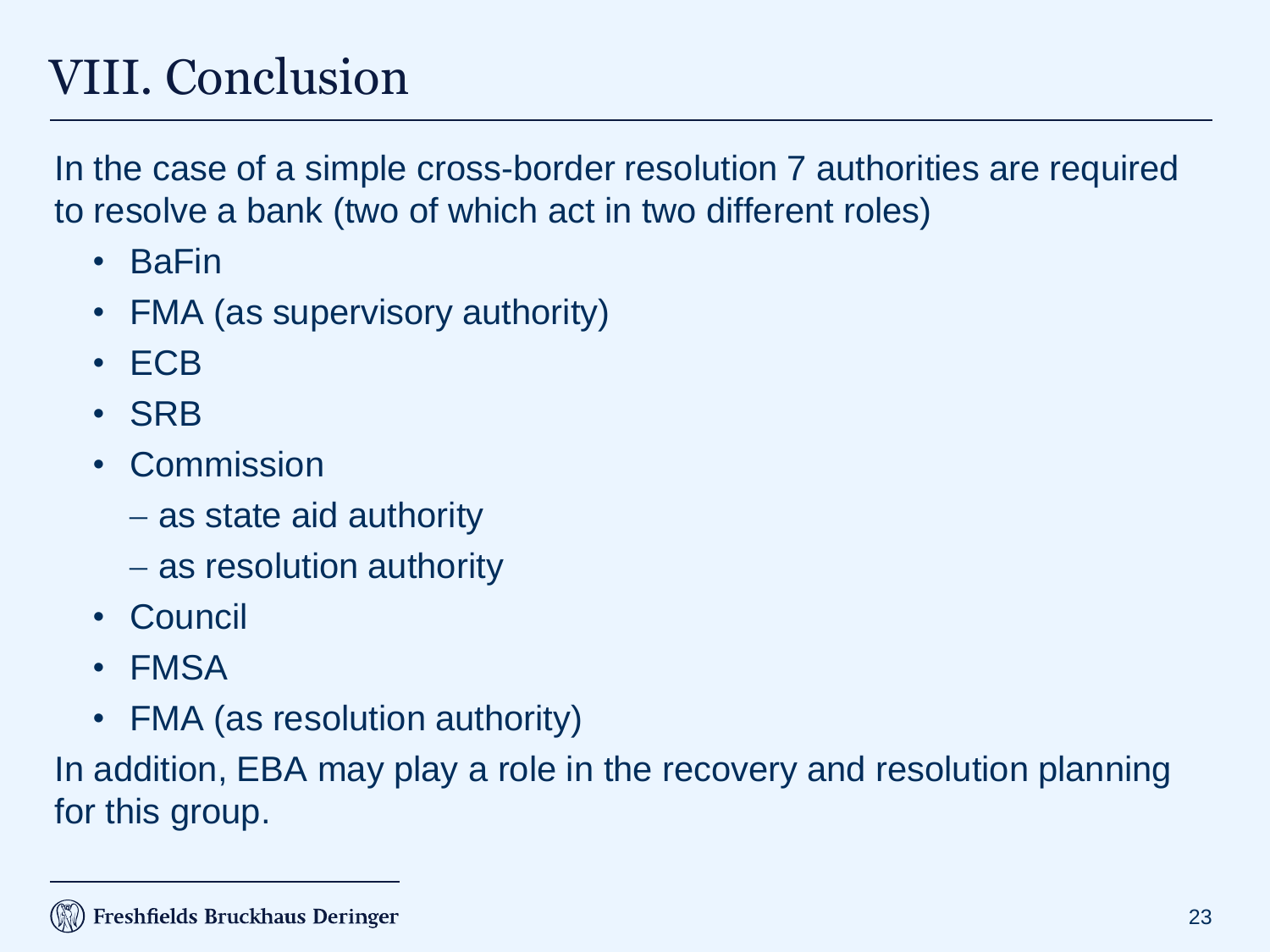## VIII. Conclusion

In the case of a simple cross-border resolution 7 authorities are required to resolve a bank (two of which act in two different roles)

- BaFin
- FMA (as supervisory authority)
- ECB
- SRB
- Commission
	- as state aid authority
	- as resolution authority
- Council
- FMSA
- FMA (as resolution authority)

In addition, EBA may play a role in the recovery and resolution planning for this group.

#### Freshfields Bruckhaus Deringer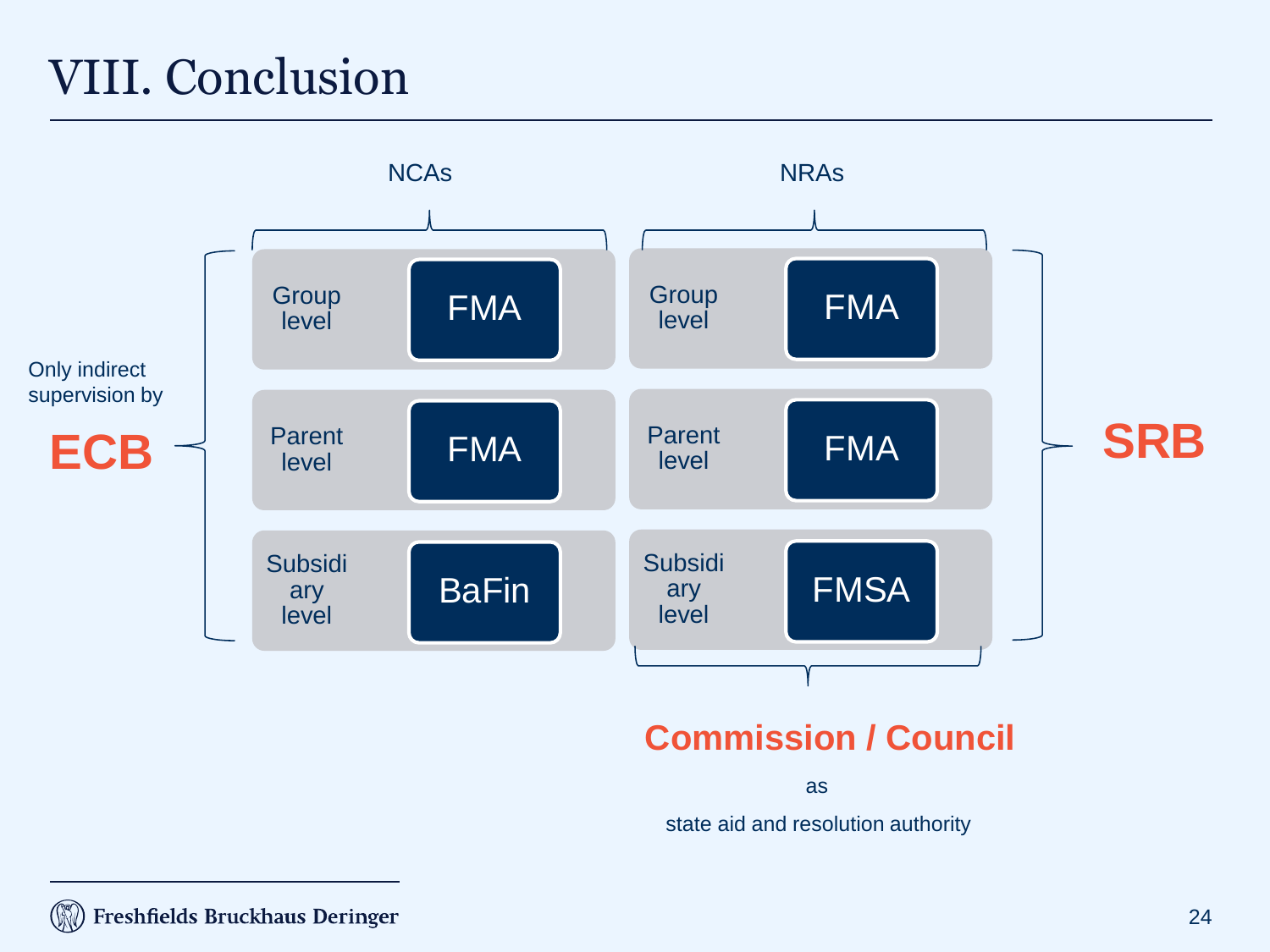## VIII. Conclusion



state aid and resolution authority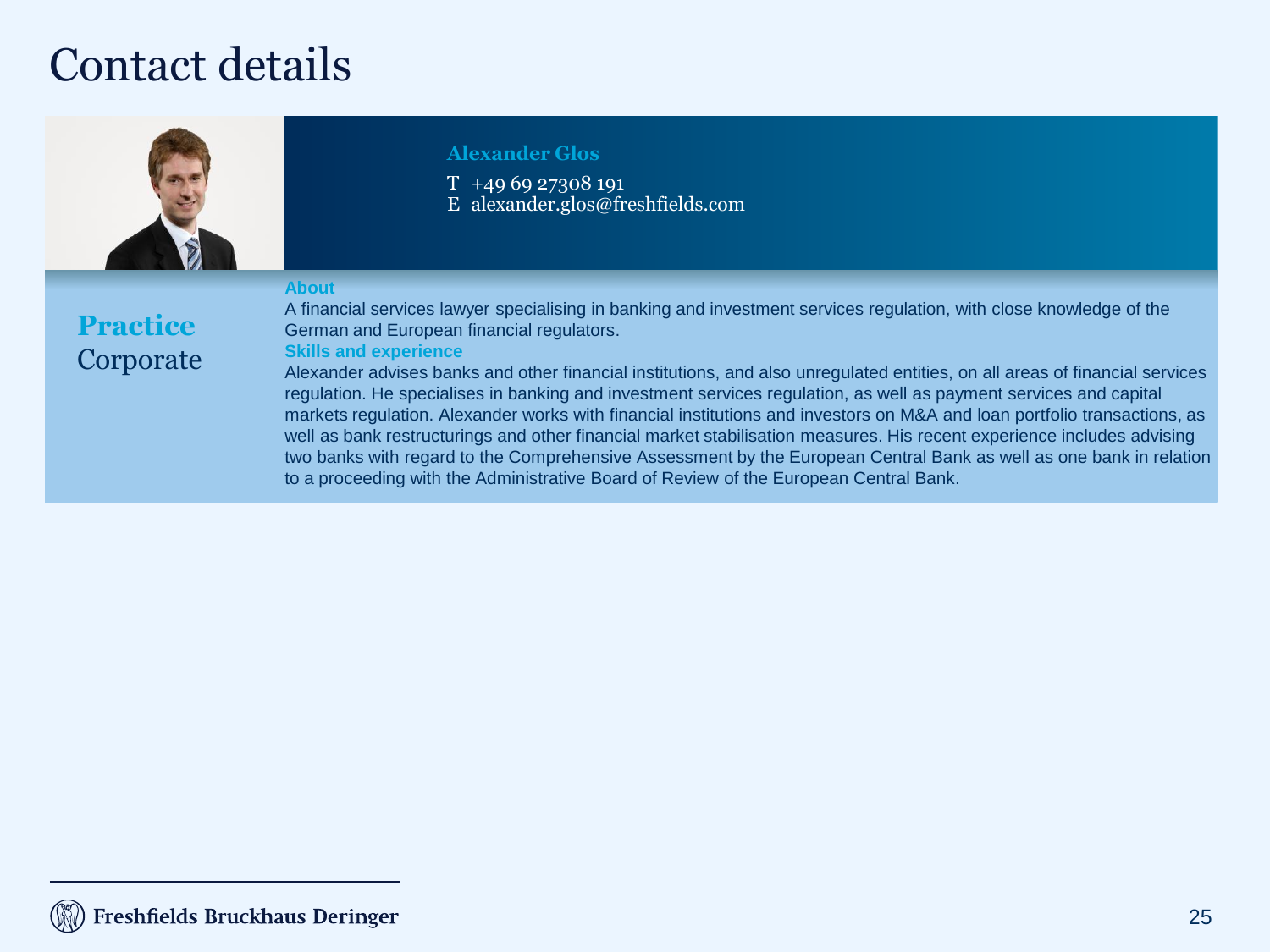#### Contact details



#### **Alexander Glos**

T +49 69 27308 191 E alexander.glos@freshfields.com

#### **About**

**Practice** Corporate A financial services lawyer specialising in banking and investment services regulation, with close knowledge of the German and European financial regulators.

#### **Skills and experience**

Alexander advises banks and other financial institutions, and also unregulated entities, on all areas of financial services regulation. He specialises in banking and investment services regulation, as well as payment services and capital markets regulation. Alexander works with financial institutions and investors on M&A and loan portfolio transactions, as well as bank restructurings and other financial market stabilisation measures. His recent experience includes advising two banks with regard to the Comprehensive Assessment by the European Central Bank as well as one bank in relation to a proceeding with the Administrative Board of Review of the European Central Bank.